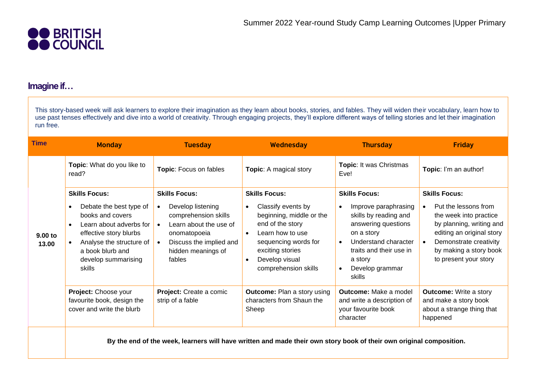

## **Imagine if…**

This story-based week will ask learners to explore their imagination as they learn about books, stories, and fables. They will widen their vocabulary, learn how to use past tenses effectively and dive into a world of creativity. Through engaging projects, they'll explore different ways of telling stories and let their imagination run free.

| <b>Time</b>      | <b>Monday</b>                                                                                                                                                                                                                                    | <b>Tuesday</b>                                                                                                                                                                                                | Wednesday                                                                                                                                                                                                                                   | <b>Thursday</b>                                                                                                                                                                                                    | <b>Friday</b>                                                                                                                                                                                                             |
|------------------|--------------------------------------------------------------------------------------------------------------------------------------------------------------------------------------------------------------------------------------------------|---------------------------------------------------------------------------------------------------------------------------------------------------------------------------------------------------------------|---------------------------------------------------------------------------------------------------------------------------------------------------------------------------------------------------------------------------------------------|--------------------------------------------------------------------------------------------------------------------------------------------------------------------------------------------------------------------|---------------------------------------------------------------------------------------------------------------------------------------------------------------------------------------------------------------------------|
| 9.00 to<br>13.00 | Topic: What do you like to<br>read?                                                                                                                                                                                                              | Topic: Focus on fables                                                                                                                                                                                        | <b>Topic:</b> A magical story                                                                                                                                                                                                               | Topic: It was Christmas<br>Eve!                                                                                                                                                                                    | Topic: I'm an author!                                                                                                                                                                                                     |
|                  | <b>Skills Focus:</b><br>Debate the best type of<br>$\bullet$<br>books and covers<br>Learn about adverbs for<br>$\bullet$<br>effective story blurbs<br>Analyse the structure of<br>$\bullet$<br>a book blurb and<br>develop summarising<br>skills | <b>Skills Focus:</b><br>Develop listening<br>$\bullet$<br>comprehension skills<br>Learn about the use of<br>$\bullet$<br>onomatopoeia<br>Discuss the implied and<br>$\bullet$<br>hidden meanings of<br>fables | <b>Skills Focus:</b><br>Classify events by<br>$\bullet$<br>beginning, middle or the<br>end of the story<br>Learn how to use<br>$\bullet$<br>sequencing words for<br>exciting stories<br>Develop visual<br>$\bullet$<br>comprehension skills | <b>Skills Focus:</b><br>Improve paraphrasing<br>skills by reading and<br>answering questions<br>on a story<br>Understand character<br>$\bullet$<br>traits and their use in<br>a story<br>Develop grammar<br>skills | <b>Skills Focus:</b><br>Put the lessons from<br>the week into practice<br>by planning, writing and<br>editing an original story<br>Demonstrate creativity<br>$\bullet$<br>by making a story book<br>to present your story |
|                  | Project: Choose your<br>favourite book, design the<br>cover and write the blurb                                                                                                                                                                  | Project: Create a comic<br>strip of a fable                                                                                                                                                                   | <b>Outcome: Plan a story using</b><br>characters from Shaun the<br>Sheep                                                                                                                                                                    | <b>Outcome:</b> Make a model<br>and write a description of<br>your favourite book<br>character                                                                                                                     | <b>Outcome:</b> Write a story<br>and make a story book<br>about a strange thing that<br>happened                                                                                                                          |
|                  |                                                                                                                                                                                                                                                  |                                                                                                                                                                                                               | By the end of the week, learners will have written and made their own story book of their own original composition.                                                                                                                         |                                                                                                                                                                                                                    |                                                                                                                                                                                                                           |